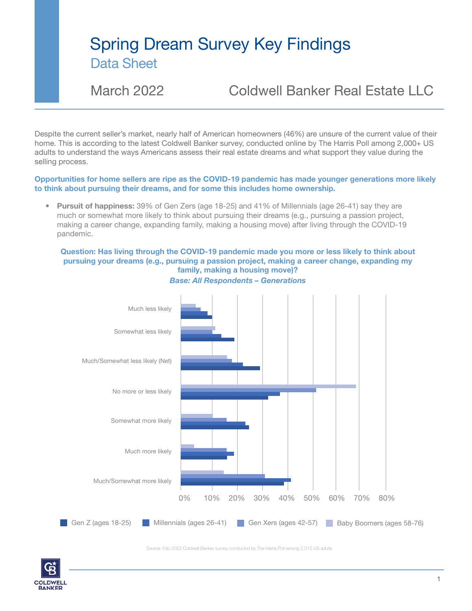March 2022 Coldwell Banker Real Estate LLC

Despite the current seller's market, nearly half of American homeowners (46%) are unsure of the current value of their home. This is according to the latest Coldwell Banker survey, conducted online by The Harris Poll among 2,000+ US adults to understand the ways Americans assess their real estate dreams and what support they value during the selling process.

### Opportunities for home sellers are ripe as the COVID-19 pandemic has made younger generations more likely to think about pursuing their dreams, and for some this includes home ownership.

• Pursuit of happiness: 39% of Gen Zers (age 18-25) and 41% of Millennials (age 26-41) say they are much or somewhat more likely to think about pursuing their dreams (e.g., pursuing a passion project, making a career change, expanding family, making a housing move) after living through the COVID-19 pandemic.

### Question: Has living through the COVID-19 pandemic made you more or less likely to think about pursuing your dreams (e.g., pursuing a passion project, making a career change, expanding my family, making a housing move)?



*Base: All Respondents – Generations*

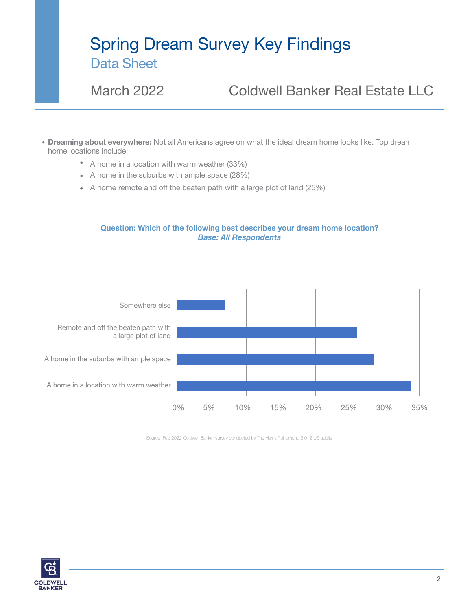March 2022 Coldwell Banker Real Estate LLC

- Dreaming about everywhere: Not all Americans agree on what the ideal dream home looks like. Top dream home locations include:
	- A home in a location with warm weather (33%)
	- A home in the suburbs with ample space (28%)
	- A home remote and off the beaten path with a large plot of land (25%)

### Question: Which of the following best describes your dream home location? *Base: All Respondents*



Source: Feb 2022 Coldwell Banker survey conducted by The Harris Poll among 2,012 US adults

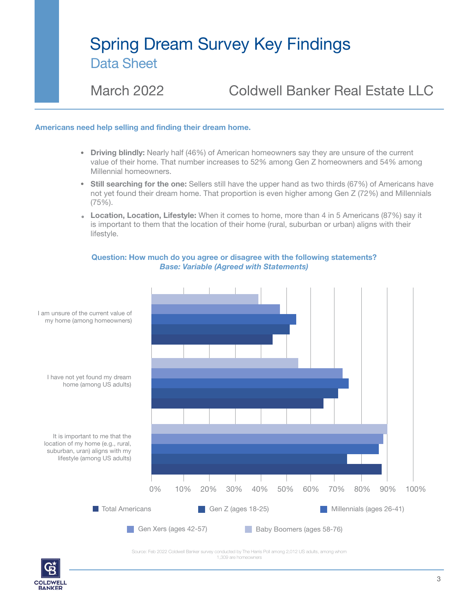March 2022 Coldwell Banker Real Estate LLC

#### Americans need help selling and finding their dream home.

- Driving blindly: Nearly half (46%) of American homeowners say they are unsure of the current value of their home. That number increases to 52% among Gen Z homeowners and 54% among Millennial homeowners.
- Still searching for the one: Sellers still have the upper hand as two thirds (67%) of Americans have not yet found their dream home. That proportion is even higher among Gen Z (72%) and Millennials (75%).
- Location, Location, Lifestyle: When it comes to home, more than 4 in 5 Americans (87%) say it is important to them that the location of their home (rural, suburban or urban) aligns with their lifestyle.

#### Question: How much do you agree or disagree with the following statements? *Base: Variable (Agreed with Statements)*



1,309 are homeowners

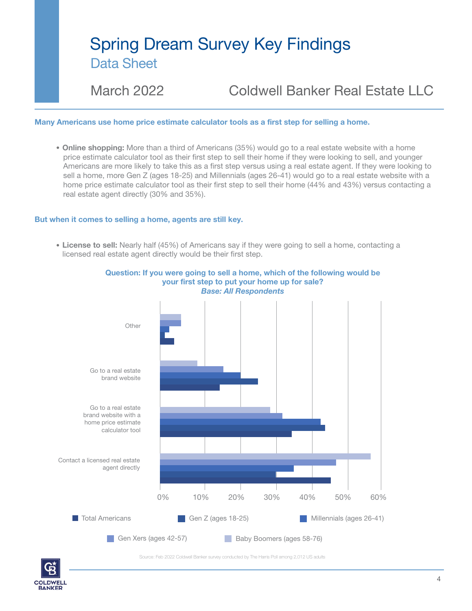March 2022 Coldwell Banker Real Estate LLC

#### Many Americans use home price estimate calculator tools as a first step for selling a home.

• Online shopping: More than a third of Americans (35%) would go to a real estate website with a home price estimate calculator tool as their first step to sell their home if they were looking to sell, and younger Americans are more likely to take this as a first step versus using a real estate agent. If they were looking to sell a home, more Gen Z (ages 18-25) and Millennials (ages 26-41) would go to a real estate website with a home price estimate calculator tool as their first step to sell their home (44% and 43%) versus contacting a real estate agent directly (30% and 35%).

#### But when it comes to selling a home, agents are still key.

License to sell: Nearly half (45%) of Americans say if they were going to sell a home, contacting a licensed real estate agent directly would be their first step.



### Question: If you were going to sell a home, which of the following would be your first step to put your home up for sale?

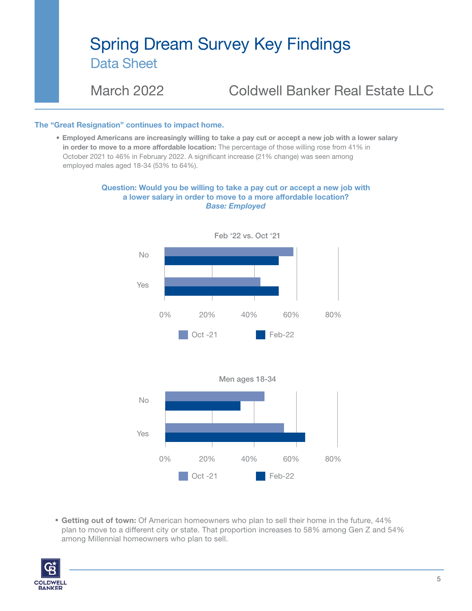March 2022 Coldwell Banker Real Estate LLC

### The "Great Resignation" continues to impact home.

Employed Americans are increasingly willing to take a pay cut or accept a new job with a lower salary in order to move to a more affordable location: The percentage of those willing rose from 41% in October 2021 to 46% in February 2022. A significant increase (21% change) was seen among employed males aged 18-34 (53% to 64%).

#### Question: Would you be willing to take a pay cut or accept a new job with a lower salary in order to move to a more affordable location? *Base: Employed*







 Getting out of town: Of American homeowners who plan to sell their home in the future, 44% plan to move to a different city or state. That proportion increases to 58% among Gen Z and 54% among Millennial homeowners who plan to sell.

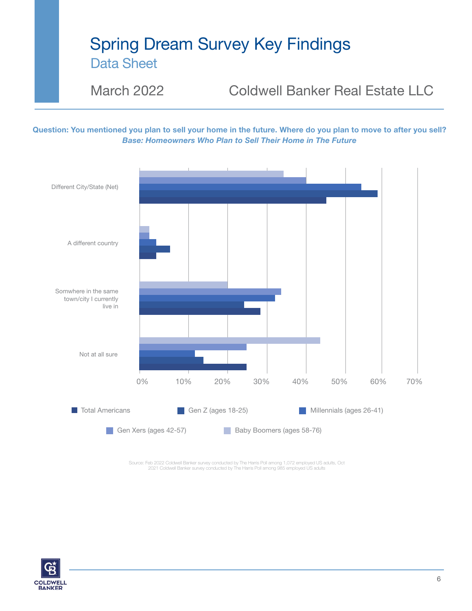March 2022 Coldwell Banker Real Estate LLC

Question: You mentioned you plan to sell your home in the future. Where do you plan to move to after you sell? *Base: Homeowners Who Plan to Sell Their Home in The Future*



Source: Feb 2022 Coldwell Banker survey conducted by The Harris Poll among 1,072 employed US adults, Oct<br>2021 Coldwell Banker survey conducted by The Harris Poll among 985 employed US adults